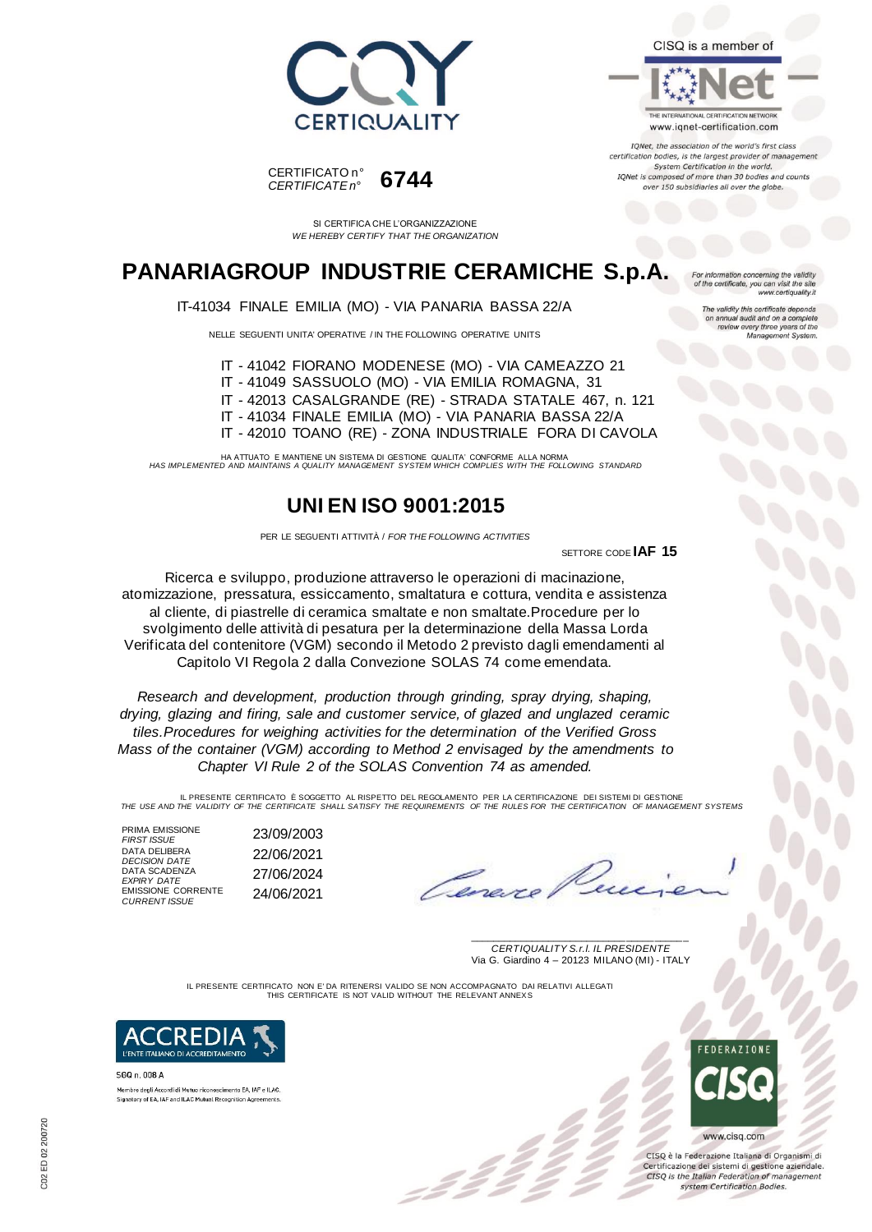



CISO is a member of



IONet, the association of the world's first class certification bodies, is the largest provider of management System Certification in the world. IQNet is composed of more than 30 bodies and cou over 150 subsidiaries all over the globe.

For information concerning the validity<br>of the certificate, you can visit the site

The validity this certificate depends on annual audit and on a complete review every three years of the triree years or the<br>agement System

 $\overline{M}$ 

u can visit the site<br>www.certiquality.it

# **PANARIAGROUP INDUSTRIE CERAMICHE S.p.A.**

SI CERTIFICA CHE L'ORGANIZZAZIONE *WE HEREBY CERTIFY THAT THE ORGANIZATION*

#### IT-41034 FINALE EMILIA (MO) - VIA PANARIA BASSA 22/A

NELLE SEGUENTI UNITA' OPERATIVE / IN THE FOLLOWING OPERATIVE UNITS

IT - 41042 FIORANO MODENESE (MO) - VIA CAMEAZZO 21

IT - 41049 SASSUOLO (MO) - VIA EMILIA ROMAGNA, 31

IT - 42013 CASALGRANDE (RE) - STRADA STATALE 467, n. 121

IT - 41034 FINALE EMILIA (MO) - VIA PANARIA BASSA 22/A

IT - 42010 TOANO (RE) - ZONA INDUSTRIALE FORA DI CAVOLA

HA ATTUATO E MANTIENE UN SISTEMA DI GESTIONE QUALITA' CONFORME ALLA NORMA *HAS IMPLEMENTED AND MAINTAINS A QUALITY MANAGEMENT SYSTEM WHICH COMPLIES WITH THE FOLLOWING STANDARD*

## **UNI EN ISO 9001:2015**

PER LE SEGUENTI ATTIVITÀ / *FOR THE FOLLOWING ACTIVITIES*

SETTORE CODE **IAF 15**

Ricerca e sviluppo, produzione attraverso le operazioni di macinazione, atomizzazione, pressatura, essiccamento, smaltatura e cottura, vendita e assistenza al cliente, di piastrelle di ceramica smaltate e non smaltate.Procedure per lo svolgimento delle attività di pesatura per la determinazione della Massa Lorda Verificata del contenitore (VGM) secondo il Metodo 2 previsto dagli emendamenti al Capitolo VI Regola 2 dalla Convezione SOLAS 74 come emendata.

*Research and development, production through grinding, spray drying, shaping, drying, glazing and firing, sale and customer service, of glazed and unglazed ceramic tiles.Procedures for weighing activities for the determination of the Verified Gross Mass of the container (VGM) according to Method 2 envisaged by the amendments to Chapter VI Rule 2 of the SOLAS Convention 74 as amended.*

IL PRESENTE CERTIFICATO E SOGGETTO AL RISPETTO DEL REGOLAMENTO PER LA CERTIFICAZIONE DEI SISTEMI DI GESTIONE<br>THE USE AND THE VALIDITY OF THE CERTIFICATE SHALL SATISFY THE REQUIREMENTS OF THE RULES FOR THE CERTIFICATION OF

PRIMA EMISSIONE<br>FIRST ISSUE *FIRST ISSUE* 23/09/2003 DATA DELIBERA<br>DECISION DATE *DECISION DATE* 22/06/2021 DATA SCADENZA *EXPIRY DATE* 27/06/2024 EMISSIONE CORRENTE *CURRENT ISSUE* 24/06/2021

\_\_\_\_\_\_\_\_\_\_\_\_\_\_\_\_\_\_\_\_\_\_\_\_\_\_\_\_\_\_\_\_\_\_\_\_\_\_\_ *CERTIQUALITY S.r.l. IL PRESIDENTE* Via G. Giardino 4 – 20123 MILANO (MI) - ITALY

IL PRESENTE CERTIFICATO NON E' DA RITENERSI VALIDO SE NON ACCOMPAGNATO DAI RELATIVI ALLEGATI THIS CERTIFICATE IS NOT VALID WITHOUT THE RELEVANT ANNEXS

222



SGQ n. 008 A Membro degli Accordi di Mutuo riconoscimento EA, IAF e ILAC Signatory of EA, IAF and ILAC Mutual Recognition Agreements



CISQ è la Federazione Italiana di Organismi di Certificazione dei sistemi di gestione aziendale. CISQ is the Italian Federation of management system Certification Bodies.

C02 ED 02 200720